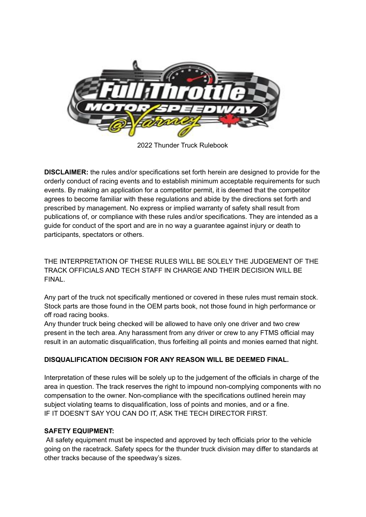

2022 Thunder Truck Rulebook

**DISCLAIMER:** the rules and/or specifications set forth herein are designed to provide for the orderly conduct of racing events and to establish minimum acceptable requirements for such events. By making an application for a competitor permit, it is deemed that the competitor agrees to become familiar with these regulations and abide by the directions set forth and prescribed by management. No express or implied warranty of safety shall result from publications of, or compliance with these rules and/or specifications. They are intended as a guide for conduct of the sport and are in no way a guarantee against injury or death to participants, spectators or others.

THE INTERPRETATION OF THESE RULES WILL BE SOLELY THE JUDGEMENT OF THE TRACK OFFICIALS AND TECH STAFF IN CHARGE AND THEIR DECISION WILL BE FINAL.

Any part of the truck not specifically mentioned or covered in these rules must remain stock. Stock parts are those found in the OEM parts book, not those found in high performance or off road racing books.

Any thunder truck being checked will be allowed to have only one driver and two crew present in the tech area. Any harassment from any driver or crew to any FTMS official may result in an automatic disqualification, thus forfeiting all points and monies earned that night.

# **DISQUALIFICATION DECISION FOR ANY REASON WILL BE DEEMED FINAL.**

Interpretation of these rules will be solely up to the judgement of the officials in charge of the area in question. The track reserves the right to impound non-complying components with no compensation to the owner. Non-compliance with the specifications outlined herein may subject violating teams to disqualification, loss of points and monies, and or a fine. IF IT DOESN'T SAY YOU CAN DO IT, ASK THE TECH DIRECTOR FIRST.

# **SAFETY EQUIPMENT:**

All safety equipment must be inspected and approved by tech officials prior to the vehicle going on the racetrack. Safety specs for the thunder truck division may differ to standards at other tracks because of the speedway's sizes.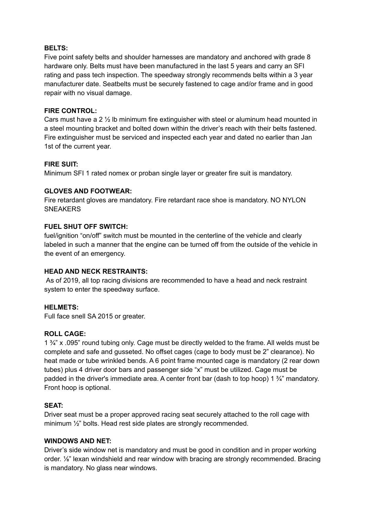### **BELTS:**

Five point safety belts and shoulder harnesses are mandatory and anchored with grade 8 hardware only. Belts must have been manufactured in the last 5 years and carry an SFI rating and pass tech inspection. The speedway strongly recommends belts within a 3 year manufacturer date. Seatbelts must be securely fastened to cage and/or frame and in good repair with no visual damage.

### **FIRE CONTROL:**

Cars must have a 2 ½ lb minimum fire extinguisher with steel or aluminum head mounted in a steel mounting bracket and bolted down within the driver's reach with their belts fastened. Fire extinguisher must be serviced and inspected each year and dated no earlier than Jan 1st of the current year.

### **FIRE SUIT:**

Minimum SFI 1 rated nomex or proban single layer or greater fire suit is mandatory.

### **GLOVES AND FOOTWEAR:**

Fire retardant gloves are mandatory. Fire retardant race shoe is mandatory. NO NYLON **SNEAKERS** 

### **FUEL SHUT OFF SWITCH:**

fuel/ignition "on/off" switch must be mounted in the centerline of the vehicle and clearly labeled in such a manner that the engine can be turned off from the outside of the vehicle in the event of an emergency.

### **HEAD AND NECK RESTRAINTS:**

As of 2019, all top racing divisions are recommended to have a head and neck restraint system to enter the speedway surface.

### **HELMETS:**

Full face snell SA 2015 or greater.

### **ROLL CAGE:**

1 ¾" x .095" round tubing only. Cage must be directly welded to the frame. All welds must be complete and safe and gusseted. No offset cages (cage to body must be 2" clearance). No heat made or tube wrinkled bends. A 6 point frame mounted cage is mandatory (2 rear down tubes) plus 4 driver door bars and passenger side "x" must be utilized. Cage must be padded in the driver's immediate area. A center front bar (dash to top hoop) 1 ¾" mandatory. Front hoop is optional.

# **SEAT:**

Driver seat must be a proper approved racing seat securely attached to the roll cage with minimum  $\frac{1}{2}$ " bolts. Head rest side plates are strongly recommended.

### **WINDOWS AND NET:**

Driver's side window net is mandatory and must be good in condition and in proper working order. ⅛" lexan windshield and rear window with bracing are strongly recommended. Bracing is mandatory. No glass near windows.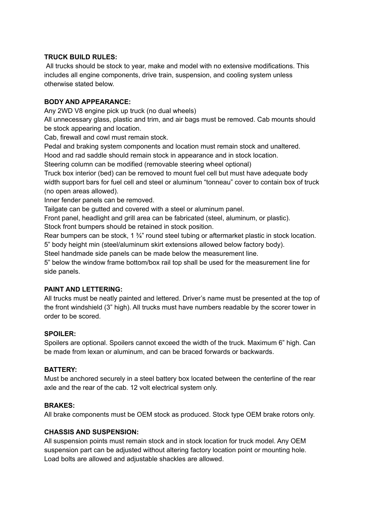### **TRUCK BUILD RULES:**

All trucks should be stock to year, make and model with no extensive modifications. This includes all engine components, drive train, suspension, and cooling system unless otherwise stated below.

### **BODY AND APPEARANCE:**

Any 2WD V8 engine pick up truck (no dual wheels)

All unnecessary glass, plastic and trim, and air bags must be removed. Cab mounts should be stock appearing and location.

Cab, firewall and cowl must remain stock.

Pedal and braking system components and location must remain stock and unaltered.

Hood and rad saddle should remain stock in appearance and in stock location.

Steering column can be modified (removable steering wheel optional)

Truck box interior (bed) can be removed to mount fuel cell but must have adequate body width support bars for fuel cell and steel or aluminum "tonneau" cover to contain box of truck (no open areas allowed).

Inner fender panels can be removed.

Tailgate can be gutted and covered with a steel or aluminum panel.

Front panel, headlight and grill area can be fabricated (steel, aluminum, or plastic).

Stock front bumpers should be retained in stock position.

Rear bumpers can be stock, 1  $\frac{3}{4}$ " round steel tubing or aftermarket plastic in stock location. 5" body height min (steel/aluminum skirt extensions allowed below factory body).

Steel handmade side panels can be made below the measurement line.

5" below the window frame bottom/box rail top shall be used for the measurement line for side panels.

# **PAINT AND LETTERING:**

All trucks must be neatly painted and lettered. Driver's name must be presented at the top of the front windshield (3" high). All trucks must have numbers readable by the scorer tower in order to be scored.

### **SPOILER:**

Spoilers are optional. Spoilers cannot exceed the width of the truck. Maximum 6" high. Can be made from lexan or aluminum, and can be braced forwards or backwards.

### **BATTERY:**

Must be anchored securely in a steel battery box located between the centerline of the rear axle and the rear of the cab. 12 volt electrical system only.

### **BRAKES:**

All brake components must be OEM stock as produced. Stock type OEM brake rotors only.

### **CHASSIS AND SUSPENSION:**

All suspension points must remain stock and in stock location for truck model. Any OEM suspension part can be adjusted without altering factory location point or mounting hole. Load bolts are allowed and adjustable shackles are allowed.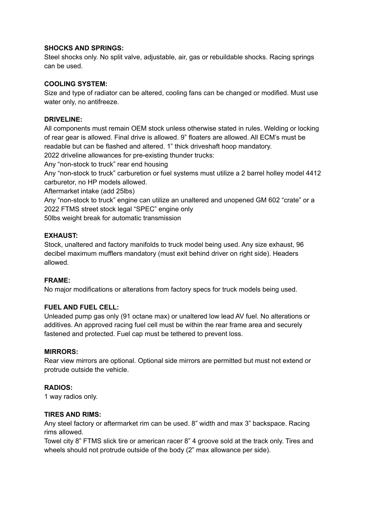### **SHOCKS AND SPRINGS:**

Steel shocks only. No split valve, adjustable, air, gas or rebuildable shocks. Racing springs can be used.

### **COOLING SYSTEM:**

Size and type of radiator can be altered, cooling fans can be changed or modified. Must use water only, no antifreeze.

### **DRIVELINE:**

All components must remain OEM stock unless otherwise stated in rules. Welding or locking of rear gear is allowed. Final drive is allowed. 9" floaters are allowed. All ECM's must be readable but can be flashed and altered. 1" thick driveshaft hoop mandatory.

2022 driveline allowances for pre-existing thunder trucks:

Any "non-stock to truck" rear end housing

Any "non-stock to truck" carburetion or fuel systems must utilize a 2 barrel holley model 4412 carburetor, no HP models allowed.

Aftermarket intake (add 25lbs)

Any "non-stock to truck" engine can utilize an unaltered and unopened GM 602 "crate" or a 2022 FTMS street stock legal "SPEC" engine only

50lbs weight break for automatic transmission

### **EXHAUST:**

Stock, unaltered and factory manifolds to truck model being used. Any size exhaust, 96 decibel maximum mufflers mandatory (must exit behind driver on right side). Headers allowed.

### **FRAME:**

No major modifications or alterations from factory specs for truck models being used.

### **FUEL AND FUEL CELL:**

Unleaded pump gas only (91 octane max) or unaltered low lead AV fuel. No alterations or additives. An approved racing fuel cell must be within the rear frame area and securely fastened and protected. Fuel cap must be tethered to prevent loss.

### **MIRRORS:**

Rear view mirrors are optional. Optional side mirrors are permitted but must not extend or protrude outside the vehicle.

### **RADIOS:**

1 way radios only.

### **TIRES AND RIMS:**

Any steel factory or aftermarket rim can be used. 8" width and max 3" backspace. Racing rims allowed.

Towel city 8" FTMS slick tire or american racer 8" 4 groove sold at the track only. Tires and wheels should not protrude outside of the body (2" max allowance per side).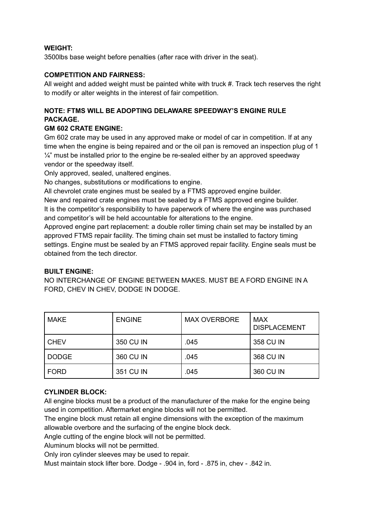### **WEIGHT:**

3500lbs base weight before penalties (after race with driver in the seat).

### **COMPETITION AND FAIRNESS:**

All weight and added weight must be painted white with truck #. Track tech reserves the right to modify or alter weights in the interest of fair competition.

# **NOTE: FTMS WILL BE ADOPTING DELAWARE SPEEDWAY'S ENGINE RULE PACKAGE.**

### **GM 602 CRATE ENGINE:**

Gm 602 crate may be used in any approved make or model of car in competition. If at any time when the engine is being repaired and or the oil pan is removed an inspection plug of 1  $\frac{1}{4}$ " must be installed prior to the engine be re-sealed either by an approved speedway vendor or the speedway itself.

Only approved, sealed, unaltered engines.

No changes, substitutions or modifications to engine.

All chevrolet crate engines must be sealed by a FTMS approved engine builder.

New and repaired crate engines must be sealed by a FTMS approved engine builder. It is the competitor's responsibility to have paperwork of where the engine was purchased

and competitor's will be held accountable for alterations to the engine.

Approved engine part replacement: a double roller timing chain set may be installed by an approved FTMS repair facility. The timing chain set must be installed to factory timing settings. Engine must be sealed by an FTMS approved repair facility. Engine seals must be obtained from the tech director.

### **BUILT ENGINE:**

NO INTERCHANGE OF ENGINE BETWEEN MAKES. MUST BE A FORD ENGINE IN A FORD, CHEV IN CHEV, DODGE IN DODGE.

| <b>MAKE</b>  | <b>ENGINE</b> | <b>MAX OVERBORE</b> | <b>MAX</b><br><b>DISPLACEMENT</b> |
|--------------|---------------|---------------------|-----------------------------------|
| <b>CHEV</b>  | 350 CU IN     | .045                | 358 CU IN                         |
| <b>DODGE</b> | 360 CU IN     | .045                | 368 CU IN                         |
| <b>FORD</b>  | 351 CU IN     | .045                | 360 CU IN                         |

# **CYLINDER BLOCK:**

All engine blocks must be a product of the manufacturer of the make for the engine being used in competition. Aftermarket engine blocks will not be permitted.

The engine block must retain all engine dimensions with the exception of the maximum allowable overbore and the surfacing of the engine block deck.

Angle cutting of the engine block will not be permitted.

Aluminum blocks will not be permitted.

Only iron cylinder sleeves may be used to repair.

Must maintain stock lifter bore. Dodge - .904 in, ford - .875 in, chev - .842 in.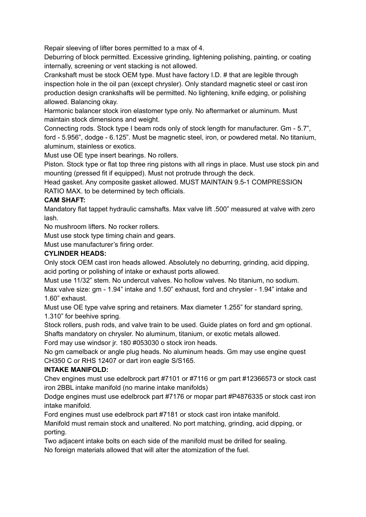Repair sleeving of lifter bores permitted to a max of 4.

Deburring of block permitted. Excessive grinding, lightening polishing, painting, or coating internally, screening or vent stacking is not allowed.

Crankshaft must be stock OEM type. Must have factory I.D. # that are legible through inspection hole in the oil pan (except chrysler). Only standard magnetic steel or cast iron production design crankshafts will be permitted. No lightening, knife edging, or polishing allowed. Balancing okay.

Harmonic balancer stock iron elastomer type only. No aftermarket or aluminum. Must maintain stock dimensions and weight.

Connecting rods. Stock type I beam rods only of stock length for manufacturer. Gm - 5.7", ford - 5.956", dodge - 6.125". Must be magnetic steel, iron, or powdered metal. No titanium, aluminum, stainless or exotics.

Must use OE type insert bearings. No rollers.

Piston. Stock type or flat top three ring pistons with all rings in place. Must use stock pin and mounting (pressed fit if equipped). Must not protrude through the deck.

Head gasket. Any composite gasket allowed. MUST MAINTAIN 9.5-1 COMPRESSION RATIO MAX. to be determined by tech officials.

# **CAM SHAFT:**

Mandatory flat tappet hydraulic camshafts. Max valve lift .500" measured at valve with zero lash.

No mushroom lifters. No rocker rollers.

Must use stock type timing chain and gears.

Must use manufacturer's firing order.

# **CYLINDER HEADS:**

Only stock OEM cast iron heads allowed. Absolutely no deburring, grinding, acid dipping, acid porting or polishing of intake or exhaust ports allowed.

Must use 11/32" stem. No undercut valves. No hollow valves. No titanium, no sodium. Max valve size: gm - 1.94" intake and 1.50" exhaust, ford and chrysler - 1.94" intake and 1.60" exhaust.

Must use OE type valve spring and retainers. Max diameter 1.255" for standard spring, 1.310" for beehive spring.

Stock rollers, push rods, and valve train to be used. Guide plates on ford and gm optional. Shafts mandatory on chrysler. No aluminum, titanium, or exotic metals allowed.

Ford may use windsor jr. 180 #053030 o stock iron heads.

No gm camelback or angle plug heads. No aluminum heads. Gm may use engine quest CH350 C or RHS 12407 or dart iron eagle S/S165.

# **INTAKE MANIFOLD:**

Chev engines must use edelbrock part #7101 or #7116 or gm part #12366573 or stock cast iron 2BBL intake manifold (no marine intake manifolds)

Dodge engines must use edelbrock part #7176 or mopar part #P4876335 or stock cast iron intake manifold.

Ford engines must use edelbrock part #7181 or stock cast iron intake manifold.

Manifold must remain stock and unaltered. No port matching, grinding, acid dipping, or porting.

Two adjacent intake bolts on each side of the manifold must be drilled for sealing. No foreign materials allowed that will alter the atomization of the fuel.